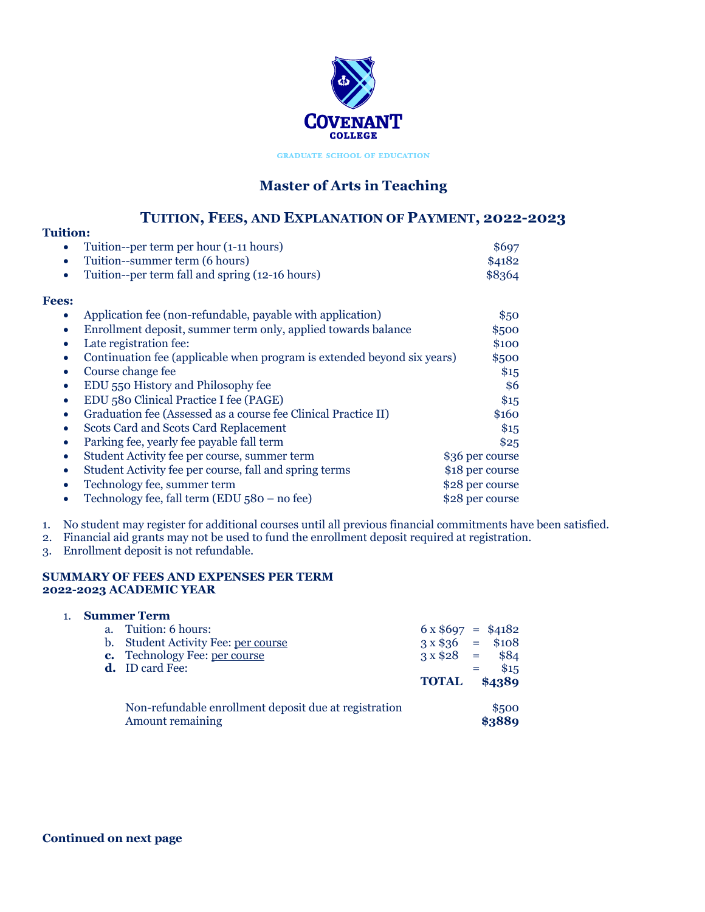

**GRADUATE SCHOOL OF EDUCATION** 

# **Master of Arts in Teaching**

## **TUITION, FEES, AND EXPLANATION OF PAYMENT, 2022-2023**

### **Tuition:** • Tuition--per term per hour (1-11 hours) \$697 Tuition--summer term (6 hours) \$4182 • Tuition--per term fall and spring (12-16 hours) \$8364 **Fees:** Application fee (non-refundable, payable with application)  $$50$ • Enrollment deposit, summer term only, applied towards balance \$500 **Late registration fee:** \$100 • Continuation fee (applicable when program is extended beyond six years) \$500 **Course change fee** \$15 • EDU 550 History and Philosophy fee \$6 • EDU 580 Clinical Practice I fee (PAGE) \$15 • Graduation fee (Assessed as a course fee Clinical Practice II) \$160 • Scots Card and Scots Card Replacement \$15 Parking fee, yearly fee payable fall term  $$25$ • Student Activity fee per course, summer term \$36 per course • Student Activity fee per course, fall and spring terms \$18 per course • Technology fee, summer term  $$28$  per course • Technology fee, fall term (EDU 580 – no fee)  $$28$  per course

- 1. No student may register for additional courses until all previous financial commitments have been satisfied.
- 2. Financial aid grants may not be used to fund the enrollment deposit required at registration.
- 3. Enrollment deposit is not refundable.

#### **SUMMARY OF FEES AND EXPENSES PER TERM 2022-2023 ACADEMIC YEAR**

|             | <b>Summer Term</b>                                                        |                         |                 |
|-------------|---------------------------------------------------------------------------|-------------------------|-----------------|
| $a_{\cdot}$ | Tuition: 6 hours:                                                         | $6 \times $697 = $4182$ |                 |
|             | b. Student Activity Fee: per course                                       | $3 \times $36 = $108$   |                 |
|             | c. Technology Fee: per course                                             | $3 \times $28 =$        | \$84            |
|             | <b>d.</b> ID card Fee:                                                    |                         | \$15            |
|             |                                                                           | <b>TOTAL</b>            | \$4389          |
|             | Non-refundable enrollment deposit due at registration<br>Amount remaining |                         | \$500<br>\$3889 |